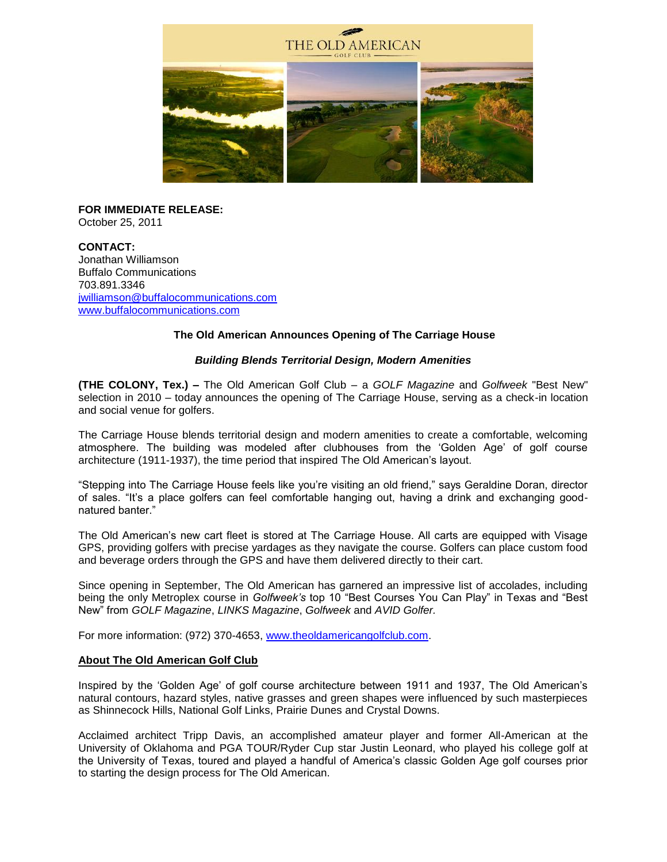

# **FOR IMMEDIATE RELEASE:**

October 25, 2011

**CONTACT:** Jonathan Williamson Buffalo Communications 703.891.3346 [jwilliamson@buffalocommunications.com](mailto:jwilliamson@buffalocommunications.com) [www.buffalocommunications.com](http://www.buffalocommunications.com/)

## **The Old American Announces Opening of The Carriage House**

## *Building Blends Territorial Design, Modern Amenities*

**(THE COLONY, Tex.) –** The Old American Golf Club – a *GOLF Magazine* and *Golfweek* "Best New" selection in 2010 – today announces the opening of The Carriage House, serving as a check-in location and social venue for golfers.

The Carriage House blends territorial design and modern amenities to create a comfortable, welcoming atmosphere. The building was modeled after clubhouses from the 'Golden Age' of golf course architecture (1911-1937), the time period that inspired The Old American's layout.

"Stepping into The Carriage House feels like you're visiting an old friend," says Geraldine Doran, director of sales. "It's a place golfers can feel comfortable hanging out, having a drink and exchanging goodnatured banter."

The Old American's new cart fleet is stored at The Carriage House. All carts are equipped with Visage GPS, providing golfers with precise yardages as they navigate the course. Golfers can place custom food and beverage orders through the GPS and have them delivered directly to their cart.

Since opening in September, The Old American has garnered an impressive list of accolades, including being the only Metroplex course in *Golfweek's* top 10 "Best Courses You Can Play" in Texas and "Best New" from *GOLF Magazine*, *LINKS Magazine*, *Golfweek* and *AVID Golfer.*

For more information: (972) 370-4653, [www.theoldamericangolfclub.com.](http://www.theoldamericangolfclub.com/)

#### **About The Old American Golf Club**

Inspired by the 'Golden Age' of golf course architecture between 1911 and 1937, The Old American's natural contours, hazard styles, native grasses and green shapes were influenced by such masterpieces as Shinnecock Hills, National Golf Links, Prairie Dunes and Crystal Downs.

Acclaimed architect Tripp Davis, an accomplished amateur player and former All-American at the University of Oklahoma and PGA TOUR/Ryder Cup star Justin Leonard, who played his college golf at the University of Texas, toured and played a handful of America's classic Golden Age golf courses prior to starting the design process for The Old American.